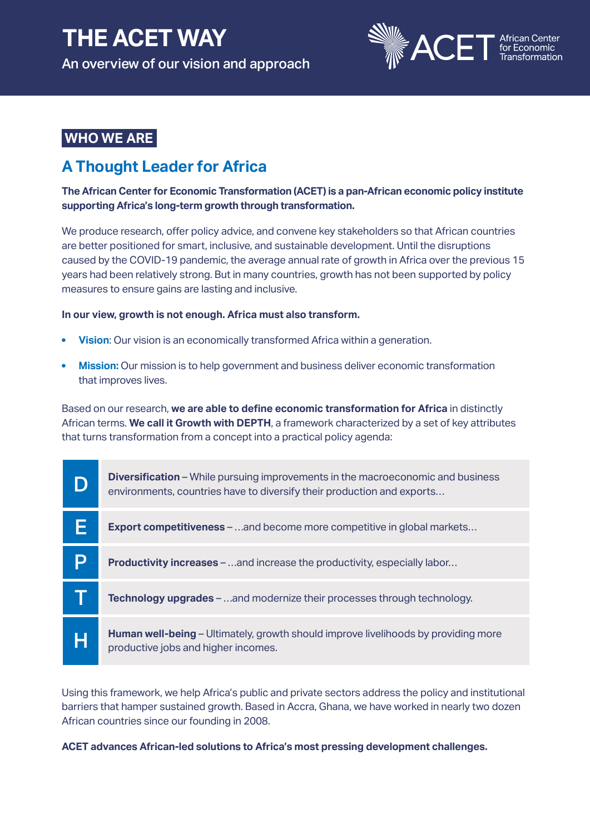# **THE ACET WAY** An overview of our vision and approach



# **WHO WE ARE**

# **A Thought Leader for Africa**

**The African Center for Economic Transformation (ACET) is a pan-African economic policy institute supporting Africa's long-term growth through transformation.** 

We produce research, offer policy advice, and convene key stakeholders so that African countries are better positioned for smart, inclusive, and sustainable development. Until the disruptions caused by the COVID-19 pandemic, the average annual rate of growth in Africa over the previous 15 years had been relatively strong. But in many countries, growth has not been supported by policy measures to ensure gains are lasting and inclusive.

## **In our view, growth is not enough. Africa must also transform.**

- **Vision**: Our vision is an economically transformed Africa within a generation.
- **Mission:** Our mission is to help government and business deliver economic transformation that improves lives.

Based on our research, **we are able to define economic transformation for Africa** in distinctly African terms. **We call it Growth with DEPTH**, a framework characterized by a set of key attributes that turns transformation from a concept into a practical policy agenda:

| D | <b>Diversification</b> – While pursuing improvements in the macroeconomic and business<br>environments, countries have to diversify their production and exports |
|---|------------------------------------------------------------------------------------------------------------------------------------------------------------------|
|   | <b>Export competitiveness</b> – and become more competitive in global markets                                                                                    |
|   | <b>Productivity increases – and increase the productivity, especially labor</b>                                                                                  |
|   | <b>Technology upgrades</b> – and modernize their processes through technology.                                                                                   |
| H | <b>Human well-being</b> – Ultimately, growth should improve livelihoods by providing more<br>productive jobs and higher incomes.                                 |

Using this framework, we help Africa's public and private sectors address the policy and institutional barriers that hamper sustained growth. Based in Accra, Ghana, we have worked in nearly two dozen African countries since our founding in 2008.

**ACET advances African-led solutions to Africa's most pressing development challenges.**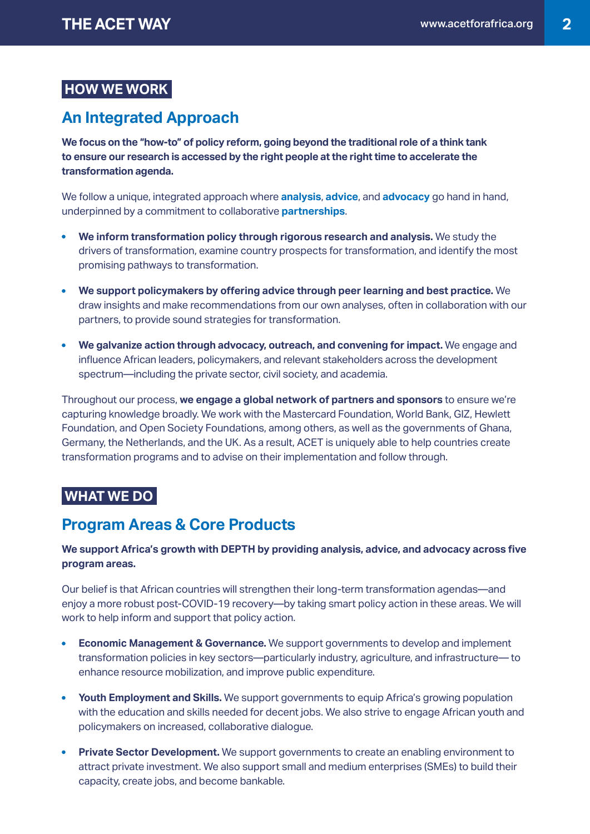## **HOW WE WORK**

# **An Integrated Approach**

**We focus on the "how-to" of policy reform, going beyond the traditional role of a think tank to ensure our research is accessed by the right people at the right time to accelerate the transformation agenda.**

We follow a unique, integrated approach where **analysis**, **advice**, and **advocacy** go hand in hand, underpinned by a commitment to collaborative **partnerships**.

- **We inform transformation policy through rigorous research and analysis.** We study the drivers of transformation, examine country prospects for transformation, and identify the most promising pathways to transformation.
- **We support policymakers by offering advice through peer learning and best practice.** We  $\bullet$ draw insights and make recommendations from our own analyses, often in collaboration with our partners, to provide sound strategies for transformation.
- **We galvanize action through advocacy, outreach, and convening for impact.** We engage and influence African leaders, policymakers, and relevant stakeholders across the development spectrum—including the private sector, civil society, and academia.

Throughout our process, **we engage a global network of partners and sponsors** to ensure we're capturing knowledge broadly. We work with the Mastercard Foundation, World Bank, GIZ, Hewlett Foundation, and Open Society Foundations, among others, as well as the governments of Ghana, Germany, the Netherlands, and the UK. As a result, ACET is uniquely able to help countries create transformation programs and to advise on their implementation and follow through.

## **WHAT WE DO**

## **Program Areas & Core Products**

## **We support Africa's growth with DEPTH by providing analysis, advice, and advocacy across five program areas.**

Our belief is that African countries will strengthen their long-term transformation agendas—and enjoy a more robust post-COVID-19 recovery—by taking smart policy action in these areas. We will work to help inform and support that policy action.

- **Economic Management & Governance.** We support governments to develop and implement transformation policies in key sectors—particularly industry, agriculture, and infrastructure— to enhance resource mobilization, and improve public expenditure.
- **Youth Employment and Skills.** We support governments to equip Africa's growing population with the education and skills needed for decent jobs. We also strive to engage African youth and policymakers on increased, collaborative dialogue.
- **Private Sector Development.** We support governments to create an enabling environment to attract private investment. We also support small and medium enterprises (SMEs) to build their capacity, create jobs, and become bankable.